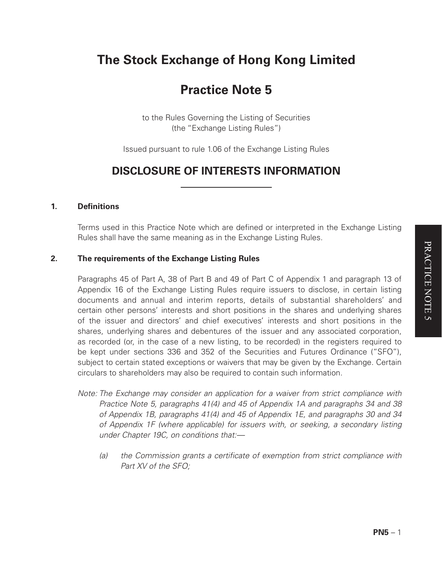# **The Stock Exchange of Hong Kong Limited**

# **Practice Note 5**

to the Rules Governing the Listing of Securities (the "Exchange Listing Rules")

Issued pursuant to rule 1.06 of the Exchange Listing Rules

# **DISCLOSURE OF INTERESTS INFORMATION**

### **1. Definitions**

Terms used in this Practice Note which are defined or interpreted in the Exchange Listing Rules shall have the same meaning as in the Exchange Listing Rules.

### **2. The requirements of the Exchange Listing Rules**

Paragraphs 45 of Part A, 38 of Part B and 49 of Part C of Appendix 1 and paragraph 13 of Appendix 16 of the Exchange Listing Rules require issuers to disclose, in certain listing documents and annual and interim reports, details of substantial shareholders' and certain other persons' interests and short positions in the shares and underlying shares of the issuer and directors' and chief executives' interests and short positions in the shares, underlying shares and debentures of the issuer and any associated corporation, as recorded (or, in the case of a new listing, to be recorded) in the registers required to be kept under sections 336 and 352 of the Securities and Futures Ordinance ("SFO"), subject to certain stated exceptions or waivers that may be given by the Exchange. Certain circulars to shareholders may also be required to contain such information.

- *Note: The Exchange may consider an application for a waiver from strict compliance with Practice Note 5, paragraphs 41(4) and 45 of Appendix 1A and paragraphs 34 and 38 of Appendix 1B, paragraphs 41(4) and 45 of Appendix 1E, and paragraphs 30 and 34 of Appendix 1F (where applicable) for issuers with, or seeking, a secondary listing under Chapter 19C, on conditions that:—*
	- *(a) the Commission grants a certificate of exemption from strict compliance with Part XV of the SFO;*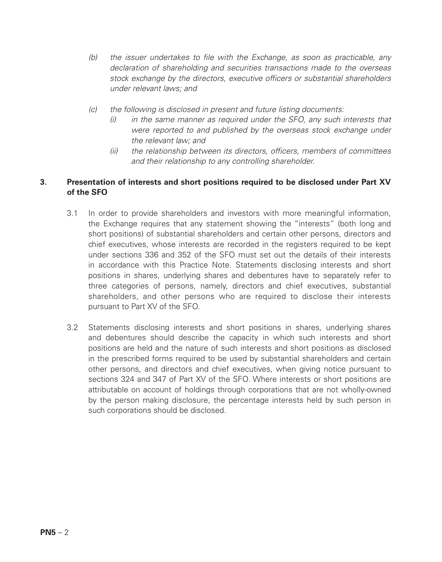- *(b) the issuer undertakes to file with the Exchange, as soon as practicable, any declaration of shareholding and securities transactions made to the overseas stock exchange by the directors, executive officers or substantial shareholders under relevant laws; and*
- *(c) the following is disclosed in present and future listing documents:*
	- *(i) in the same manner as required under the SFO, any such interests that were reported to and published by the overseas stock exchange under the relevant law; and*
	- *(ii) the relationship between its directors, officers, members of committees and their relationship to any controlling shareholder.*

# **3. Presentation of interests and short positions required to be disclosed under Part XV of the SFO**

- 3.1 In order to provide shareholders and investors with more meaningful information, the Exchange requires that any statement showing the "interests" (both long and short positions) of substantial shareholders and certain other persons, directors and chief executives, whose interests are recorded in the registers required to be kept under sections 336 and 352 of the SFO must set out the details of their interests in accordance with this Practice Note. Statements disclosing interests and short positions in shares, underlying shares and debentures have to separately refer to three categories of persons, namely, directors and chief executives, substantial shareholders, and other persons who are required to disclose their interests pursuant to Part XV of the SFO.
- 3.2 Statements disclosing interests and short positions in shares, underlying shares and debentures should describe the capacity in which such interests and short positions are held and the nature of such interests and short positions as disclosed in the prescribed forms required to be used by substantial shareholders and certain other persons, and directors and chief executives, when giving notice pursuant to sections 324 and 347 of Part XV of the SFO. Where interests or short positions are attributable on account of holdings through corporations that are not wholly-owned by the person making disclosure, the percentage interests held by such person in such corporations should be disclosed.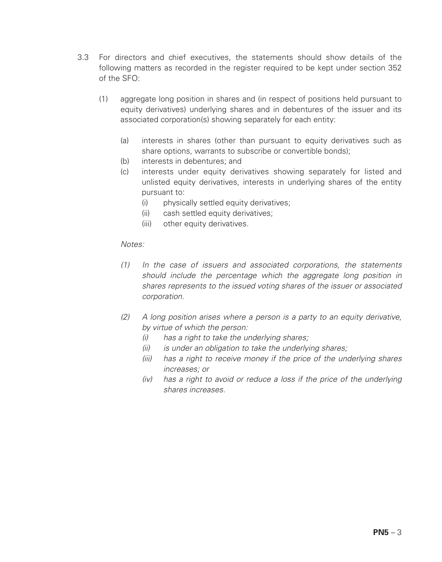- 3.3 For directors and chief executives, the statements should show details of the following matters as recorded in the register required to be kept under section 352 of the  $SFO:$ 
	- (1) aggregate long position in shares and (in respect of positions held pursuant to equity derivatives) underlying shares and in debentures of the issuer and its associated corporation(s) showing separately for each entity:
		- (a) interests in shares (other than pursuant to equity derivatives such as share options, warrants to subscribe or convertible bonds);
		- (b) interests in debentures; and
		- (c) interests under equity derivatives showing separately for listed and unlisted equity derivatives, interests in underlying shares of the entity pursuant to:
			- (i) physically settled equity derivatives:
			- (ii) cash settled equity derivatives;
			- (iii) other equity derivatives.

- *(1) In the case of issuers and associated corporations, the statements should include the percentage which the aggregate long position in shares represents to the issued voting shares of the issuer or associated corporation.*
- *(2) A long position arises where a person is a party to an equity derivative, by virtue of which the person:*
	- *(i) has a right to take the underlying shares;*
	- *(ii) is under an obligation to take the underlying shares;*
	- *(iii) has a right to receive money if the price of the underlying shares increases; or*
	- *(iv) has a right to avoid or reduce a loss if the price of the underlying shares increases.*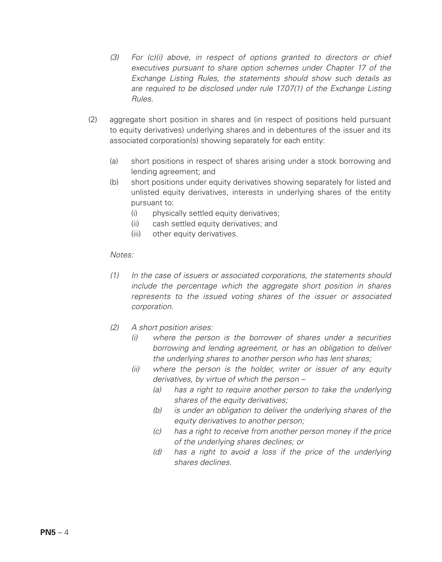- *(3) For (c)(i) above, in respect of options granted to directors or chief executives pursuant to share option schemes under Chapter 17 of the Exchange Listing Rules, the statements should show such details as are required to be disclosed under rule 17.07(1) of the Exchange Listing Rules.*
- (2) aggregate short position in shares and (in respect of positions held pursuant to equity derivatives) underlying shares and in debentures of the issuer and its associated corporation(s) showing separately for each entity:
	- (a) short positions in respect of shares arising under a stock borrowing and lending agreement; and
	- (b) short positions under equity derivatives showing separately for listed and unlisted equity derivatives, interests in underlying shares of the entity pursuant to:
		- (i) physically settled equity derivatives;
		- (ii) cash settled equity derivatives; and
		- (iii) other equity derivatives.

- *(1) In the case of issuers or associated corporations, the statements should include the percentage which the aggregate short position in shares represents to the issued voting shares of the issuer or associated corporation.*
- *(2) A short position arises:*
	- *(i) where the person is the borrower of shares under a securities borrowing and lending agreement, or has an obligation to deliver the underlying shares to another person who has lent shares;*
	- *(ii) where the person is the holder, writer or issuer of any equity derivatives, by virtue of which the person –*
		- *(a) has a right to require another person to take the underlying shares of the equity derivatives;*
		- *(b) is under an obligation to deliver the underlying shares of the equity derivatives to another person;*
		- *(c) has a right to receive from another person money if the price of the underlying shares declines; or*
		- *(d) has a right to avoid a loss if the price of the underlying shares declines.*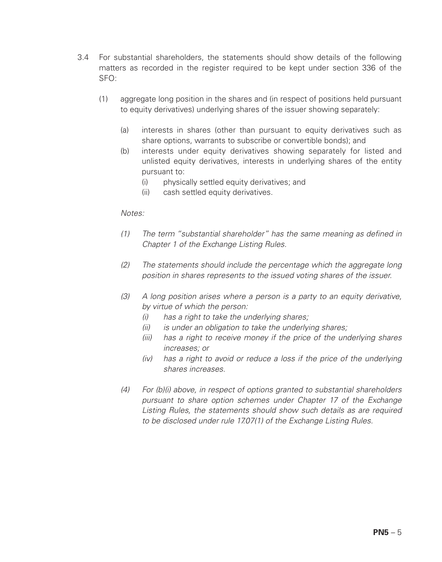- 3.4 For substantial shareholders, the statements should show details of the following matters as recorded in the register required to be kept under section 336 of the SFO:
	- (1) aggregate long position in the shares and (in respect of positions held pursuant to equity derivatives) underlying shares of the issuer showing separately:
		- (a) interests in shares (other than pursuant to equity derivatives such as share options, warrants to subscribe or convertible bonds); and
		- (b) interests under equity derivatives showing separately for listed and unlisted equity derivatives, interests in underlying shares of the entity pursuant to:
			- (i) physically settled equity derivatives; and
			- (ii) cash settled equity derivatives.

- *(1) The term "substantial shareholder" has the same meaning as defined in Chapter 1 of the Exchange Listing Rules.*
- *(2) The statements should include the percentage which the aggregate long position in shares represents to the issued voting shares of the issuer.*
- *(3) A long position arises where a person is a party to an equity derivative, by virtue of which the person:*
	- *(i) has a right to take the underlying shares;*
	- *(ii) is under an obligation to take the underlying shares;*
	- *(iii) has a right to receive money if the price of the underlying shares increases; or*
	- *(iv) has a right to avoid or reduce a loss if the price of the underlying shares increases.*
- *(4) For (b)(i) above, in respect of options granted to substantial shareholders pursuant to share option schemes under Chapter 17 of the Exchange Listing Rules, the statements should show such details as are required to be disclosed under rule 17.07(1) of the Exchange Listing Rules.*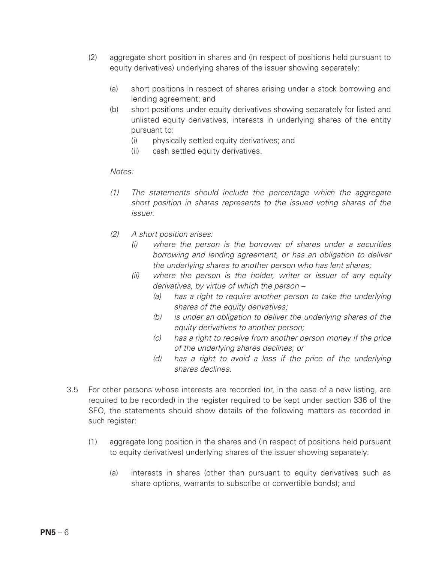- (2) aggregate short position in shares and (in respect of positions held pursuant to equity derivatives) underlying shares of the issuer showing separately:
	- (a) short positions in respect of shares arising under a stock borrowing and lending agreement; and
	- (b) short positions under equity derivatives showing separately for listed and unlisted equity derivatives, interests in underlying shares of the entity pursuant to:
		- (i) physically settled equity derivatives; and
		- (ii) cash settled equity derivatives.

- *(1) The statements should include the percentage which the aggregate short position in shares represents to the issued voting shares of the issuer.*
- *(2) A short position arises:*
	- *(i) where the person is the borrower of shares under a securities borrowing and lending agreement, or has an obligation to deliver the underlying shares to another person who has lent shares;*
	- *(ii) where the person is the holder, writer or issuer of any equity derivatives, by virtue of which the person –*
		- *(a) has a right to require another person to take the underlying shares of the equity derivatives;*
		- *(b) is under an obligation to deliver the underlying shares of the equity derivatives to another person;*
		- *(c) has a right to receive from another person money if the price of the underlying shares declines; or*
		- *(d) has a right to avoid a loss if the price of the underlying shares declines.*
- 3.5 For other persons whose interests are recorded (or, in the case of a new listing, are required to be recorded) in the register required to be kept under section 336 of the SFO, the statements should show details of the following matters as recorded in such register:
	- (1) aggregate long position in the shares and (in respect of positions held pursuant to equity derivatives) underlying shares of the issuer showing separately:
		- (a) interests in shares (other than pursuant to equity derivatives such as share options, warrants to subscribe or convertible bonds); and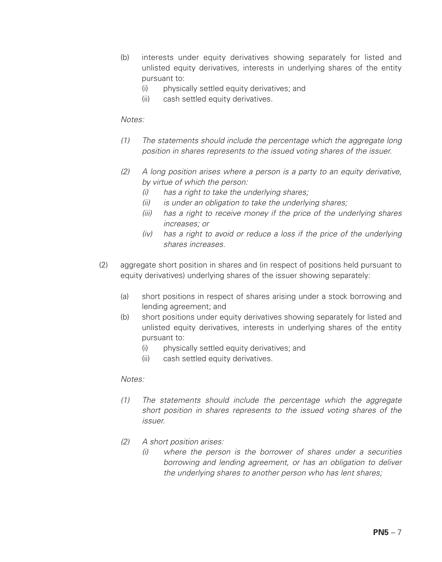- (b) interests under equity derivatives showing separately for listed and unlisted equity derivatives, interests in underlying shares of the entity pursuant to:
	- (i) physically settled equity derivatives; and
	- (ii) cash settled equity derivatives.

- *(1) The statements should include the percentage which the aggregate long position in shares represents to the issued voting shares of the issuer.*
- *(2) A long position arises where a person is a party to an equity derivative, by virtue of which the person:*
	- *(i) has a right to take the underlying shares;*
	- *(ii) is under an obligation to take the underlying shares;*
	- *(iii) has a right to receive money if the price of the underlying shares increases; or*
	- *(iv) has a right to avoid or reduce a loss if the price of the underlying shares increases.*
- (2) aggregate short position in shares and (in respect of positions held pursuant to equity derivatives) underlying shares of the issuer showing separately:
	- (a) short positions in respect of shares arising under a stock borrowing and lending agreement; and
	- (b) short positions under equity derivatives showing separately for listed and unlisted equity derivatives, interests in underlying shares of the entity pursuant to:
		- (i) physically settled equity derivatives; and
		- (ii) cash settled equity derivatives.

- *(1) The statements should include the percentage which the aggregate short position in shares represents to the issued voting shares of the issuer.*
- *(2) A short position arises:*
	- *(i) where the person is the borrower of shares under a securities borrowing and lending agreement, or has an obligation to deliver the underlying shares to another person who has lent shares;*